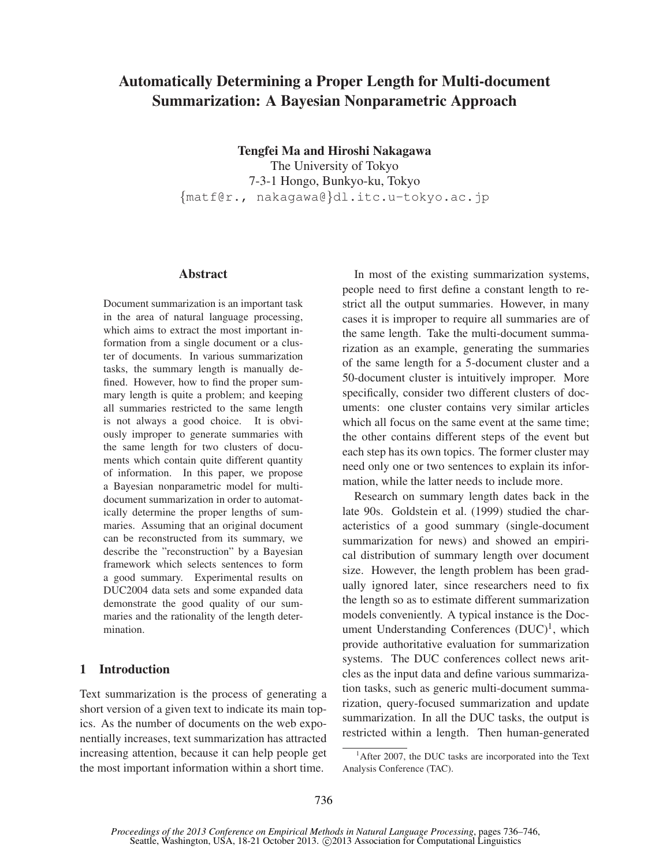# Automatically Determining a Proper Length for Multi-document Summarization: A Bayesian Nonparametric Approach

Tengfei Ma and Hiroshi Nakagawa

The University of Tokyo 7-3-1 Hongo, Bunkyo-ku, Tokyo {matf@r., nakagawa@}dl.itc.u-tokyo.ac.jp

#### Abstract

Document summarization is an important task in the area of natural language processing, which aims to extract the most important information from a single document or a cluster of documents. In various summarization tasks, the summary length is manually defined. However, how to find the proper summary length is quite a problem; and keeping all summaries restricted to the same length is not always a good choice. It is obviously improper to generate summaries with the same length for two clusters of documents which contain quite different quantity of information. In this paper, we propose a Bayesian nonparametric model for multidocument summarization in order to automatically determine the proper lengths of summaries. Assuming that an original document can be reconstructed from its summary, we describe the "reconstruction" by a Bayesian framework which selects sentences to form a good summary. Experimental results on DUC2004 data sets and some expanded data demonstrate the good quality of our summaries and the rationality of the length determination.

# 1 Introduction

Text summarization is the process of generating a short version of a given text to indicate its main topics. As the number of documents on the web exponentially increases, text summarization has attracted increasing attention, because it can help people get the most important information within a short time.

In most of the existing summarization systems, people need to first define a constant length to restrict all the output summaries. However, in many cases it is improper to require all summaries are of the same length. Take the multi-document summarization as an example, generating the summaries of the same length for a 5-document cluster and a 50-document cluster is intuitively improper. More specifically, consider two different clusters of documents: one cluster contains very similar articles which all focus on the same event at the same time: the other contains different steps of the event but each step has its own topics. The former cluster may need only one or two sentences to explain its information, while the latter needs to include more.

Research on summary length dates back in the late 90s. Goldstein et al. (1999) studied the characteristics of a good summary (single-document summarization for news) and showed an empirical distribution of summary length over document size. However, the length problem has been gradually ignored later, since researchers need to fix the length so as to estimate different summarization models conveniently. A typical instance is the Document Understanding Conferences  $(DUC)^1$ , which provide authoritative evaluation for summarization systems. The DUC conferences collect news aritcles as the input data and define various summarization tasks, such as generic multi-document summarization, query-focused summarization and update summarization. In all the DUC tasks, the output is restricted within a length. Then human-generated

<sup>&</sup>lt;sup>1</sup>After 2007, the DUC tasks are incorporated into the Text Analysis Conference (TAC).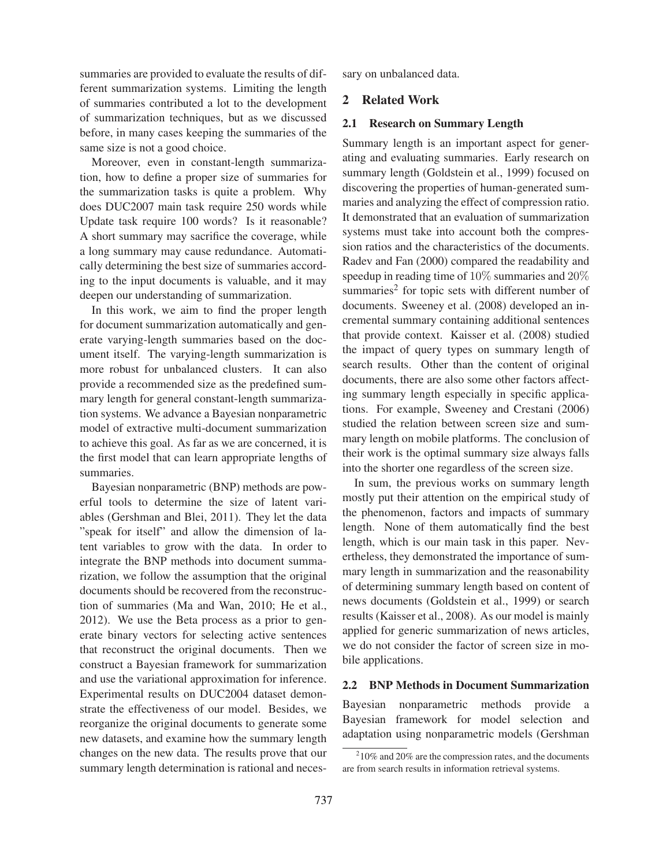summaries are provided to evaluate the results of different summarization systems. Limiting the length of summaries contributed a lot to the development of summarization techniques, but as we discussed before, in many cases keeping the summaries of the same size is not a good choice.

Moreover, even in constant-length summarization, how to define a proper size of summaries for the summarization tasks is quite a problem. Why does DUC2007 main task require 250 words while Update task require 100 words? Is it reasonable? A short summary may sacrifice the coverage, while a long summary may cause redundance. Automatically determining the best size of summaries according to the input documents is valuable, and it may deepen our understanding of summarization.

In this work, we aim to find the proper length for document summarization automatically and generate varying-length summaries based on the document itself. The varying-length summarization is more robust for unbalanced clusters. It can also provide a recommended size as the predefined summary length for general constant-length summarization systems. We advance a Bayesian nonparametric model of extractive multi-document summarization to achieve this goal. As far as we are concerned, it is the first model that can learn appropriate lengths of summaries.

Bayesian nonparametric (BNP) methods are powerful tools to determine the size of latent variables (Gershman and Blei, 2011). They let the data "speak for itself" and allow the dimension of latent variables to grow with the data. In order to integrate the BNP methods into document summarization, we follow the assumption that the original documents should be recovered from the reconstruction of summaries (Ma and Wan, 2010; He et al., 2012). We use the Beta process as a prior to generate binary vectors for selecting active sentences that reconstruct the original documents. Then we construct a Bayesian framework for summarization and use the variational approximation for inference. Experimental results on DUC2004 dataset demonstrate the effectiveness of our model. Besides, we reorganize the original documents to generate some new datasets, and examine how the summary length changes on the new data. The results prove that our summary length determination is rational and necessary on unbalanced data.

# 2 Related Work

#### 2.1 Research on Summary Length

Summary length is an important aspect for generating and evaluating summaries. Early research on summary length (Goldstein et al., 1999) focused on discovering the properties of human-generated summaries and analyzing the effect of compression ratio. It demonstrated that an evaluation of summarization systems must take into account both the compression ratios and the characteristics of the documents. Radev and Fan (2000) compared the readability and speedup in reading time of 10% summaries and 20% summaries<sup>2</sup> for topic sets with different number of documents. Sweeney et al. (2008) developed an incremental summary containing additional sentences that provide context. Kaisser et al. (2008) studied the impact of query types on summary length of search results. Other than the content of original documents, there are also some other factors affecting summary length especially in specific applications. For example, Sweeney and Crestani (2006) studied the relation between screen size and summary length on mobile platforms. The conclusion of their work is the optimal summary size always falls into the shorter one regardless of the screen size.

In sum, the previous works on summary length mostly put their attention on the empirical study of the phenomenon, factors and impacts of summary length. None of them automatically find the best length, which is our main task in this paper. Nevertheless, they demonstrated the importance of summary length in summarization and the reasonability of determining summary length based on content of news documents (Goldstein et al., 1999) or search results (Kaisser et al., 2008). As our model is mainly applied for generic summarization of news articles, we do not consider the factor of screen size in mobile applications.

## 2.2 BNP Methods in Document Summarization

Bayesian nonparametric methods provide a Bayesian framework for model selection and adaptation using nonparametric models (Gershman

 $210\%$  and 20% are the compression rates, and the documents are from search results in information retrieval systems.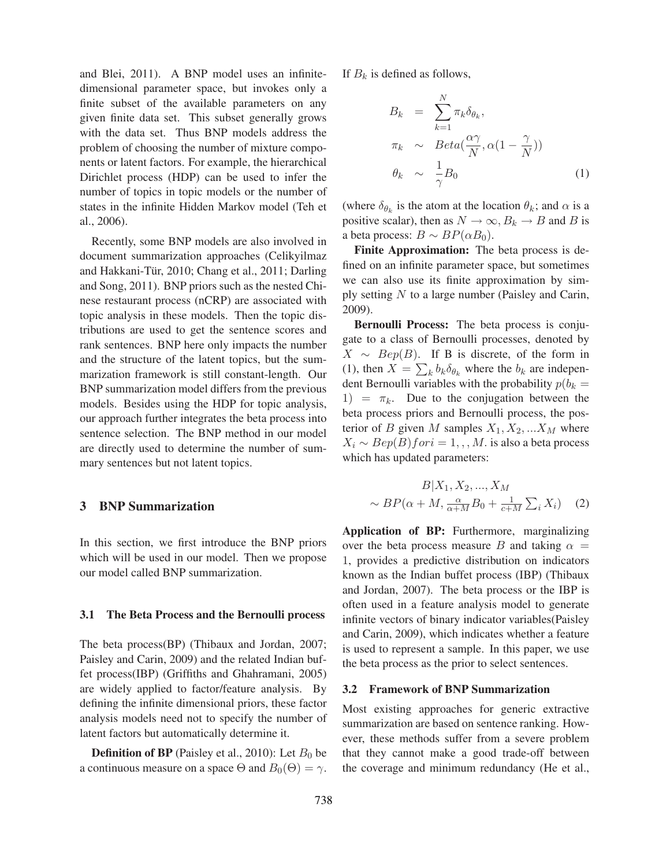and Blei, 2011). A BNP model uses an infinitedimensional parameter space, but invokes only a finite subset of the available parameters on any given finite data set. This subset generally grows with the data set. Thus BNP models address the problem of choosing the number of mixture components or latent factors. For example, the hierarchical Dirichlet process (HDP) can be used to infer the number of topics in topic models or the number of states in the infinite Hidden Markov model (Teh et al., 2006).

Recently, some BNP models are also involved in document summarization approaches (Celikyilmaz and Hakkani-Tür, 2010; Chang et al., 2011; Darling and Song, 2011). BNP priors such as the nested Chinese restaurant process (nCRP) are associated with topic analysis in these models. Then the topic distributions are used to get the sentence scores and rank sentences. BNP here only impacts the number and the structure of the latent topics, but the summarization framework is still constant-length. Our BNP summarization model differs from the previous models. Besides using the HDP for topic analysis, our approach further integrates the beta process into sentence selection. The BNP method in our model are directly used to determine the number of summary sentences but not latent topics.

# 3 BNP Summarization

In this section, we first introduce the BNP priors which will be used in our model. Then we propose our model called BNP summarization.

#### 3.1 The Beta Process and the Bernoulli process

The beta process(BP) (Thibaux and Jordan, 2007; Paisley and Carin, 2009) and the related Indian buffet process(IBP) (Griffiths and Ghahramani, 2005) are widely applied to factor/feature analysis. By defining the infinite dimensional priors, these factor analysis models need not to specify the number of latent factors but automatically determine it.

**Definition of BP** (Paisley et al., 2010): Let  $B_0$  be a continuous measure on a space  $\Theta$  and  $B_0(\Theta) = \gamma$ .

If  $B_k$  is defined as follows,

$$
B_k = \sum_{k=1}^{N} \pi_k \delta_{\theta_k},
$$
  
\n
$$
\pi_k \sim Beta(\frac{\alpha \gamma}{N}, \alpha(1 - \frac{\gamma}{N}))
$$
  
\n
$$
\theta_k \sim \frac{1}{\gamma} B_0
$$
 (1)

(where  $\delta_{\theta_k}$  is the atom at the location  $\theta_k$ ; and  $\alpha$  is a positive scalar), then as  $N \to \infty$ ,  $B_k \to B$  and B is a beta process:  $B \sim BP(\alpha B_0)$ .

Finite Approximation: The beta process is defined on an infinite parameter space, but sometimes we can also use its finite approximation by simply setting N to a large number (Paisley and Carin, 2009).

Bernoulli Process: The beta process is conjugate to a class of Bernoulli processes, denoted by  $X \sim \text{Bep}(B)$ . If B is discrete, of the form in (1), then  $X = \sum_{k} b_k \delta_{\theta_k}$  where the  $b_k$  are independent Bernoulli variables with the probability  $p(b_k =$ 1) =  $\pi_k$ . Due to the conjugation between the beta process priors and Bernoulli process, the posterior of B given M samples  $X_1, X_2, ... X_M$  where  $X_i \sim Bep(B)$  for  $i = 1, \ldots, M$ . is also a beta process which has updated parameters:

$$
B|X_1, X_2, ..., X_M
$$
  
 
$$
\sim BP(\alpha + M, \frac{\alpha}{\alpha + M}B_0 + \frac{1}{c+M}\sum_i X_i)
$$
 (2)

Application of BP: Furthermore, marginalizing over the beta process measure B and taking  $\alpha =$ 1, provides a predictive distribution on indicators known as the Indian buffet process (IBP) (Thibaux and Jordan, 2007). The beta process or the IBP is often used in a feature analysis model to generate infinite vectors of binary indicator variables(Paisley and Carin, 2009), which indicates whether a feature is used to represent a sample. In this paper, we use the beta process as the prior to select sentences.

## 3.2 Framework of BNP Summarization

Most existing approaches for generic extractive summarization are based on sentence ranking. However, these methods suffer from a severe problem that they cannot make a good trade-off between the coverage and minimum redundancy (He et al.,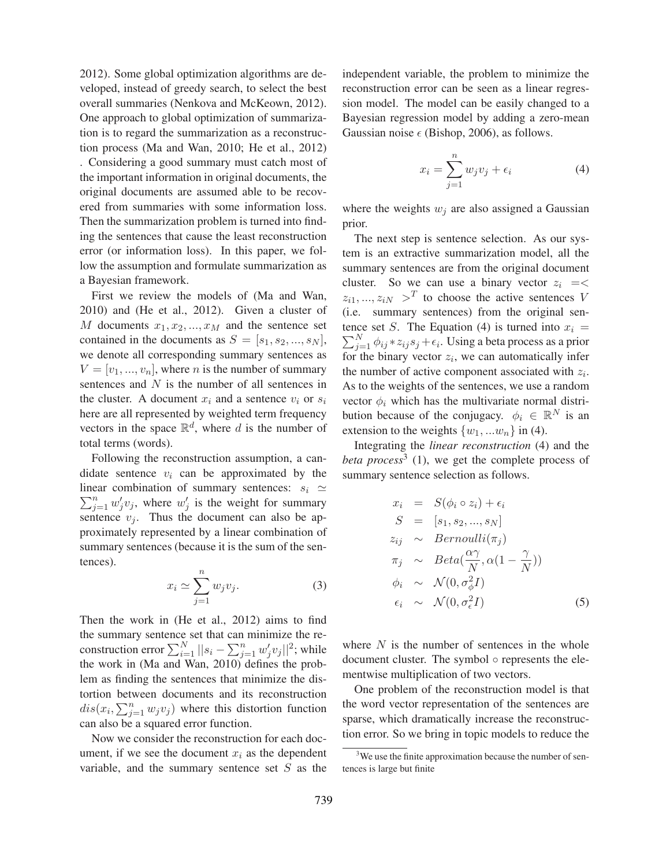2012). Some global optimization algorithms are developed, instead of greedy search, to select the best overall summaries (Nenkova and McKeown, 2012). One approach to global optimization of summarization is to regard the summarization as a reconstruction process (Ma and Wan, 2010; He et al., 2012) . Considering a good summary must catch most of the important information in original documents, the original documents are assumed able to be recovered from summaries with some information loss. Then the summarization problem is turned into finding the sentences that cause the least reconstruction error (or information loss). In this paper, we follow the assumption and formulate summarization as a Bayesian framework.

First we review the models of (Ma and Wan, 2010) and (He et al., 2012). Given a cluster of M documents  $x_1, x_2, ..., x_M$  and the sentence set contained in the documents as  $S = [s_1, s_2, ..., s_N],$ we denote all corresponding summary sentences as  $V = [v_1, ..., v_n]$ , where *n* is the number of summary sentences and N is the number of all sentences in the cluster. A document  $x_i$  and a sentence  $v_i$  or  $s_i$ here are all represented by weighted term frequency vectors in the space  $\mathbb{R}^d$ , where d is the number of total terms (words).

Following the reconstruction assumption, a candidate sentence  $v_i$  can be approximated by the linear combination of summary sentences:  $s_i \simeq$  $\sum_{j=1}^{n} w'_j v_j$ , where  $w'_j$  is the weight for summary sentence  $v_j$ . Thus the document can also be approximately represented by a linear combination of summary sentences (because it is the sum of the sentences).

$$
x_i \simeq \sum_{j=1}^n w_j v_j. \tag{3}
$$

Then the work in (He et al., 2012) aims to find the summary sentence set that can minimize the reconstruction error  $\sum_{i=1}^{N} ||s_i - \sum_{j=1}^{n} w'_j v_j||^2$ ; while the work in (Ma and Wan, 2010) defines the problem as finding the sentences that minimize the distortion between documents and its reconstruction  $dis(x_i, \sum_{j=1}^n w_j v_j)$  where this distortion function can also be a squared error function.

Now we consider the reconstruction for each document, if we see the document  $x_i$  as the dependent variable, and the summary sentence set  $S$  as the independent variable, the problem to minimize the reconstruction error can be seen as a linear regression model. The model can be easily changed to a Bayesian regression model by adding a zero-mean Gaussian noise  $\epsilon$  (Bishop, 2006), as follows.

$$
x_i = \sum_{j=1}^n w_j v_j + \epsilon_i \tag{4}
$$

where the weights  $w_j$  are also assigned a Gaussian prior.

The next step is sentence selection. As our system is an extractive summarization model, all the summary sentences are from the original document cluster. So we can use a binary vector  $z_i = \lt$  $z_{i1}, ..., z_{iN} >^T$  to choose the active sentences V (i.e. summary sentences) from the original sen-  $\sum_{j=1}^{N} \phi_{ij} * z_{ij} s_j + \epsilon_i$ . Using a beta process as a prior tence set S. The Equation (4) is turned into  $x_i =$ for the binary vector  $z_i$ , we can automatically infer the number of active component associated with  $z_i$ . As to the weights of the sentences, we use a random vector  $\phi_i$  which has the multivariate normal distribution because of the conjugacy.  $\phi_i \in \mathbb{R}^N$  is an extension to the weights  $\{w_1, ... w_n\}$  in (4).

Integrating the *linear reconstruction* (4) and the *beta process*<sup>3</sup> (1), we get the complete process of summary sentence selection as follows.

$$
x_i = S(\phi_i \circ z_i) + \epsilon_i
$$
  
\n
$$
S = [s_1, s_2, ..., s_N]
$$
  
\n
$$
z_{ij} \sim Bernoulli(\pi_j)
$$
  
\n
$$
\pi_j \sim Beta(\frac{\alpha \gamma}{N}, \alpha(1 - \frac{\gamma}{N}))
$$
  
\n
$$
\phi_i \sim \mathcal{N}(0, \sigma_{\phi}^2 I)
$$
  
\n
$$
\epsilon_i \sim \mathcal{N}(0, \sigma_{\epsilon}^2 I)
$$
 (5)

where  $N$  is the number of sentences in the whole document cluster. The symbol ◦ represents the elementwise multiplication of two vectors.

One problem of the reconstruction model is that the word vector representation of the sentences are sparse, which dramatically increase the reconstruction error. So we bring in topic models to reduce the

<sup>&</sup>lt;sup>3</sup>We use the finite approximation because the number of sentences is large but finite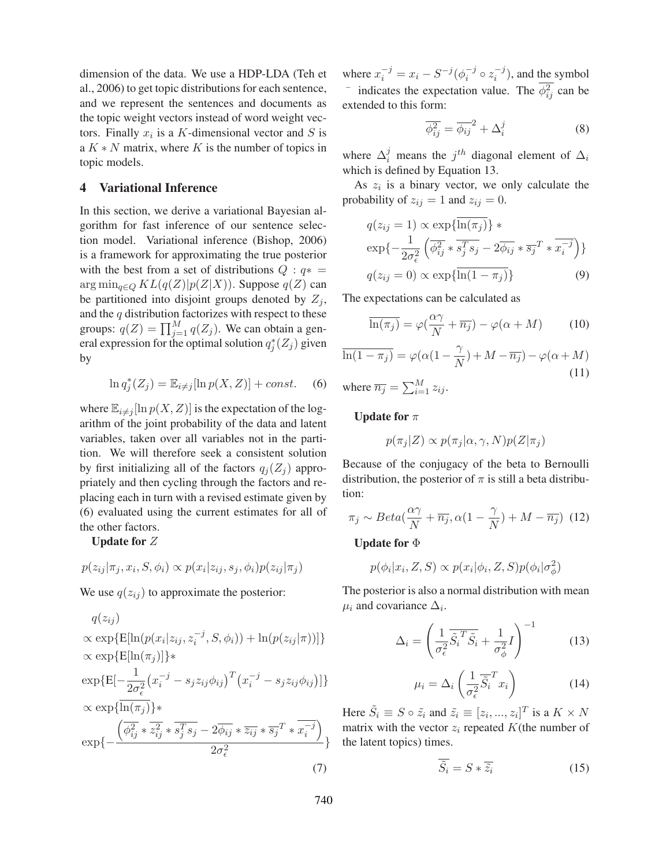dimension of the data. We use a HDP-LDA (Teh et al., 2006) to get topic distributions for each sentence, and we represent the sentences and documents as the topic weight vectors instead of word weight vectors. Finally  $x_i$  is a K-dimensional vector and S is a  $K * N$  matrix, where K is the number of topics in topic models.

### 4 Variational Inference

In this section, we derive a variational Bayesian algorithm for fast inference of our sentence selection model. Variational inference (Bishop, 2006) is a framework for approximating the true posterior with the best from a set of distributions  $Q : q^* =$  $\arg \min_{q \in Q} KL(q(Z)|p(Z|X))$ . Suppose  $q(Z)$  can be partitioned into disjoint groups denoted by  $Z_i$ , and the  $q$  distribution factorizes with respect to these groups:  $q(Z) = \prod_{j=1}^{M} q(Z_j)$ . We can obtain a general expression for the optimal solution  $q_i^*(Z_j)$  given by

$$
\ln q_j^*(Z_j) = \mathbb{E}_{i \neq j}[\ln p(X, Z)] + const.
$$
 (6)

where  $\mathbb{E}_{i \neq j}[\ln p(X, Z)]$  is the expectation of the logarithm of the joint probability of the data and latent variables, taken over all variables not in the partition. We will therefore seek a consistent solution by first initializing all of the factors  $q_j(Z_j)$  appropriately and then cycling through the factors and replacing each in turn with a revised estimate given by (6) evaluated using the current estimates for all of the other factors.

#### Update for Z

 $p(z_{ij} | \pi_i, x_i, S, \phi_i) \propto p(x_i | z_{ij}, s_i, \phi_i) p(z_{ij} | \pi_i)$ 

We use  $q(z_{ij})$  to approximate the posterior:

 $q(z_{ii})$  $\propto \exp{\{\mathbb{E}[\ln(p(x_i|z_{ij}, z_i^{-j}, S, \phi_i)) + \ln(p(z_{ij}|\pi))]\}}$  $\propto$  exp{E[ln( $\pi_i$ )]}\*  $\exp\{\mathrm{E}[-\frac{1}{2\sigma_{\epsilon}^2}$  $(x_i^{-j} - s_j z_{ij} \phi_{ij})^T (x_i^{-j} - s_j z_{ij} \phi_{ij})]$  $\propto \exp\{\overline{\ln(\pi_i)}\}$ \* exp{−  $\left(\overline{\phi_{ij}^2}\ast \overline{z_{ij}^2}\ast \overline{s_j^Ts_j}-2\overline{\phi_{ij}}\ast \overline{z_{ij}}\ast \overline{s_j}^T\ast \overline{x_i^{-j}}\right)$  $\frac{2\sigma_{\epsilon}^2}{2\sigma_{\epsilon}^2}$  the latent topics) times. (7)

where  $x_i^{-j} = x_i - S^{-j}(\phi_i^{-j} \circ z_i^{-j})$ , and the symbol  $\overline{\phi_{ij}^2}$  indicates the expectation value. The  $\overline{\phi_{ij}^2}$  can be extended to this form:

$$
\overline{\phi_{ij}^2} = \overline{\phi_{ij}}^2 + \Delta_i^j \tag{8}
$$

where  $\Delta_i^j$  means the  $j^{th}$  diagonal element of  $\Delta_i$ which is defined by Equation 13.

As  $z_i$  is a binary vector, we only calculate the probability of  $z_{ij} = 1$  and  $z_{ij} = 0$ .

$$
q(z_{ij} = 1) \propto \exp{\{\overline{\ln(\pi_j)}\}} *
$$
  
\n
$$
\exp{-\frac{1}{2\sigma_{\epsilon}^2} \left( \overline{\phi_{ij}^2} * \overline{s_j^T s_j} - 2\overline{\phi_{ij}} * \overline{s_j}^T * \overline{x_i^{-j}} \right)\}}
$$
  
\n
$$
q(z_{ij} = 0) \propto \exp{\{\overline{\ln(1 - \pi_j)}\}}
$$
\n(9)

The expectations can be calculated as

$$
\overline{\ln(\pi_j)} = \varphi(\frac{\alpha \gamma}{N} + \overline{n_j}) - \varphi(\alpha + M) \tag{10}
$$

$$
\overline{\ln(1-\pi_j)} = \varphi(\alpha(1-\frac{\gamma}{N}) + M - \overline{n_j}) - \varphi(\alpha + M)
$$
  
(11)  
where  $\overline{n_i} = \sum M_{\gamma_i}$ 

where  $\overline{n_j} = \sum_{i=1}^M z_{ij}$ .

Update for  $\pi$ 

$$
p(\pi_j|Z)\propto p(\pi_j|\alpha,\gamma,N)p(Z|\pi_j)
$$

Because of the conjugacy of the beta to Bernoulli distribution, the posterior of  $\pi$  is still a beta distribution:

$$
\pi_j \sim Beta(\frac{\alpha \gamma}{N} + \overline{n_j}, \alpha(1 - \frac{\gamma}{N}) + M - \overline{n_j})
$$
 (12)

Update for Φ

$$
p(\phi_i|x_i, Z, S) \propto p(x_i|\phi_i, Z, S)p(\phi_i|\sigma_{\phi}^2)
$$

The posterior is also a normal distribution with mean  $\mu_i$  and covariance  $\Delta_i$ .

$$
\Delta_i = \left(\frac{1}{\sigma_\epsilon^2} \overline{\tilde{S}_i^T \tilde{S}_i} + \frac{1}{\sigma_\phi^2} I\right)^{-1} \tag{13}
$$

$$
\mu_i = \Delta_i \left( \frac{1}{\sigma_\epsilon^2} \overline{\tilde{S}_i}^T x_i \right) \tag{14}
$$

Here  $\tilde{S}_i \equiv S \circ \tilde{z}_i$  and  $\tilde{z}_i \equiv [z_i, ..., z_i]^T$  is a  $K \times N$ matrix with the vector  $z_i$  repeated  $K$ (the number of

$$
\tilde{S}_i = S * \overline{\tilde{z}_i} \tag{15}
$$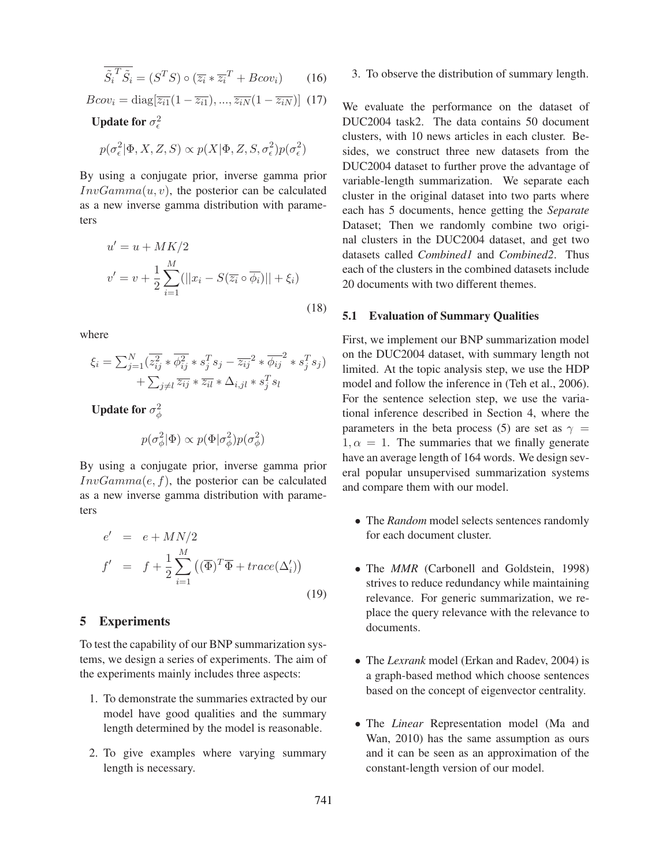$$
\overline{\tilde{S}_i^T \tilde{S}_i} = (S^T S) \circ (\overline{z_i} * \overline{z_i}^T + Bcov_i)
$$
 (16)

$$
Bcov_i = \text{diag}[\overline{z_{i1}}(1 - \overline{z_{i1}}), ..., \overline{z_{iN}}(1 - \overline{z_{iN}})] \tag{17}
$$

Update for  $\sigma_{\epsilon}^2$ 

$$
p(\sigma_{\epsilon}^2 | \Phi, X, Z, S) \propto p(X | \Phi, Z, S, \sigma_{\epsilon}^2)p(\sigma_{\epsilon}^2)
$$

By using a conjugate prior, inverse gamma prior  $InvGamma(u, v)$ , the posterior can be calculated as a new inverse gamma distribution with parameters

$$
u' = u + MK/2
$$
  

$$
v' = v + \frac{1}{2} \sum_{i=1}^{M} (||x_i - S(\overline{z_i} \circ \overline{\phi_i})|| + \xi_i)
$$
  
(18)

where

$$
\xi_i = \sum_{j=1}^N (\overline{z_{ij}^2} * \overline{\phi_{ij}^2} * s_j^T s_j - \overline{z_{ij}}^2 * \overline{\phi_{ij}}^2 * s_j^T s_j)
$$
  
+ 
$$
\sum_{j \neq l} \overline{z_{ij}} * \overline{z_{il}} * \Delta_{i,jl} * s_j^T s_l
$$

Update for  $\sigma_{\phi}^2$ 

$$
p(\sigma^2_\phi|\Phi) \propto p(\Phi|\sigma^2_\phi)p(\sigma^2_\phi)
$$

By using a conjugate prior, inverse gamma prior  $InvGamma(e, f)$ , the posterior can be calculated as a new inverse gamma distribution with parameters

$$
e' = e + MN/2
$$
  
\n
$$
f' = f + \frac{1}{2} \sum_{i=1}^{M} ((\overline{\Phi})^T \overline{\Phi} + trace(\Delta'_i))
$$
  
\n(19)

# 5 Experiments

To test the capability of our BNP summarization systems, we design a series of experiments. The aim of the experiments mainly includes three aspects:

- 1. To demonstrate the summaries extracted by our model have good qualities and the summary length determined by the model is reasonable.
- 2. To give examples where varying summary length is necessary.

#### 3. To observe the distribution of summary length.

We evaluate the performance on the dataset of DUC2004 task2. The data contains 50 document clusters, with 10 news articles in each cluster. Besides, we construct three new datasets from the DUC2004 dataset to further prove the advantage of variable-length summarization. We separate each cluster in the original dataset into two parts where each has 5 documents, hence getting the *Separate* Dataset; Then we randomly combine two original clusters in the DUC2004 dataset, and get two datasets called *Combined1* and *Combined2*. Thus each of the clusters in the combined datasets include 20 documents with two different themes.

#### 5.1 Evaluation of Summary Qualities

First, we implement our BNP summarization model on the DUC2004 dataset, with summary length not limited. At the topic analysis step, we use the HDP model and follow the inference in (Teh et al., 2006). For the sentence selection step, we use the variational inference described in Section 4, where the parameters in the beta process (5) are set as  $\gamma$  =  $1, \alpha = 1$ . The summaries that we finally generate have an average length of 164 words. We design several popular unsupervised summarization systems and compare them with our model.

- The *Random* model selects sentences randomly for each document cluster.
- The *MMR* (Carbonell and Goldstein, 1998) strives to reduce redundancy while maintaining relevance. For generic summarization, we replace the query relevance with the relevance to documents.
- The *Lexrank* model (Erkan and Radev, 2004) is a graph-based method which choose sentences based on the concept of eigenvector centrality.
- The *Linear* Representation model (Ma and Wan, 2010) has the same assumption as ours and it can be seen as an approximation of the constant-length version of our model.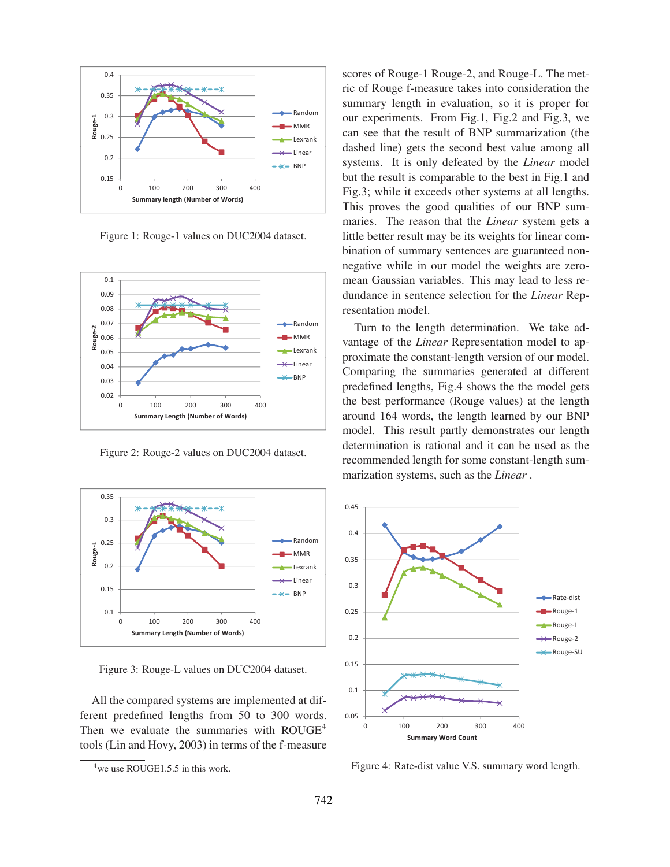

Figure 1: Rouge-1 values on DUC2004 dataset.



Figure 2: Rouge-2 values on DUC2004 dataset.



Figure 3: Rouge-L values on DUC2004 dataset.

All the compared systems are implemented at different predefined lengths from 50 to 300 words. Then we evaluate the summaries with ROUGE<sup>4</sup> tools (Lin and Hovy, 2003) in terms of the f-measure scores of Rouge-1 Rouge-2, and Rouge-L. The metric of Rouge f-measure takes into consideration the summary length in evaluation, so it is proper for our experiments. From Fig.1, Fig.2 and Fig.3, we can see that the result of BNP summarization (the dashed line) gets the second best value among all systems. It is only defeated by the *Linear* model but the result is comparable to the best in Fig.1 and Fig.3; while it exceeds other systems at all lengths. This proves the good qualities of our BNP summaries. The reason that the *Linear* system gets a little better result may be its weights for linear combination of summary sentences are guaranteed nonnegative while in our model the weights are zeromean Gaussian variables. This may lead to less redundance in sentence selection for the *Linear* Representation model.

Turn to the length determination. We take advantage of the *Linear* Representation model to approximate the constant-length version of our model. Comparing the summaries generated at different predefined lengths, Fig.4 shows the the model gets the best performance (Rouge values) at the length around 164 words, the length learned by our BNP model. This result partly demonstrates our length determination is rational and it can be used as the recommended length for some constant-length summarization systems, such as the *Linear* .



Figure 4: Rate-dist value V.S. summary word length.

<sup>&</sup>lt;sup>4</sup> we use ROUGE1.5.5 in this work.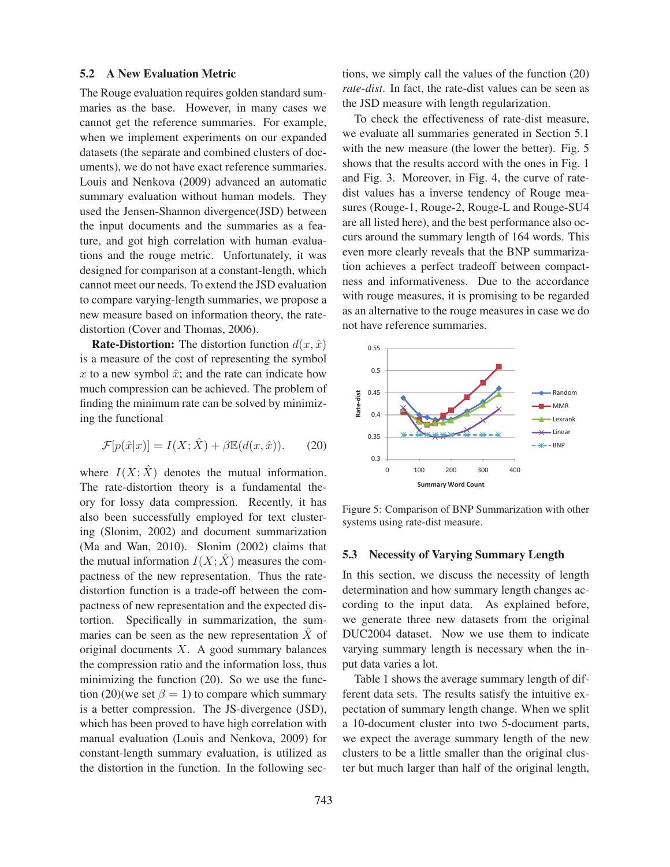#### 5.2 A New Evaluation Metric

The Rouge evaluation requires golden standard summaries as the base. However, in many cases we cannot get the reference summaries. For example, when we implement experiments on our expanded datasets (the separate and combined clusters of documents), we do not have exact reference summaries. Louis and Nenkova (2009) advanced an automatic summary evaluation without human models. They used the Jensen-Shannon divergence(JSD) between the input documents and the summaries as a feature, and got high correlation with human evaluations and the rouge metric. Unfortunately, it was designed for comparison at a constant-length, which cannot meet our needs. To extend the JSD evaluation to compare varying-length summaries, we propose a new measure based on information theory, the ratedistortion (Cover and Thomas, 2006).

**Rate-Distortion:** The distortion function  $d(x, \hat{x})$ is a measure of the cost of representing the symbol  $x$  to a new symbol  $\hat{x}$ ; and the rate can indicate how much compression can be achieved. The problem of finding the minimum rate can be solved by minimizing the functional

$$
\mathcal{F}[p(\hat{x}|x)] = I(X; \hat{X}) + \beta \mathbb{E}(d(x, \hat{x})).
$$
 (20)

where  $I(X; \hat{X})$  denotes the mutual information. The rate-distortion theory is a fundamental theory for lossy data compression. Recently, it has also been successfully employed for text clustering (Slonim, 2002) and document summarization (Ma and Wan, 2010). Slonim (2002) claims that the mutual information  $I(X; \hat{X})$  measures the compactness of the new representation. Thus the ratedistortion function is a trade-off between the compactness of new representation and the expected distortion. Specifically in summarization, the summaries can be seen as the new representation  $\ddot{X}$  of original documents  $X$ . A good summary balances the compression ratio and the information loss, thus minimizing the function (20). So we use the function (20)(we set  $\beta = 1$ ) to compare which summary is a better compression. The JS-divergence (JSD), which has been proved to have high correlation with manual evaluation (Louis and Nenkova, 2009) for constant-length summary evaluation, is utilized as the distortion in the function. In the following sections, we simply call the values of the function (20) *rate-dist*. In fact, the rate-dist values can be seen as the JSD measure with length regularization.

To check the effectiveness of rate-dist measure, we evaluate all summaries generated in Section 5.1 with the new measure (the lower the better). Fig. 5 shows that the results accord with the ones in Fig. 1 and Fig. 3. Moreover, in Fig. 4, the curve of ratedist values has a inverse tendency of Rouge measures (Rouge-1, Rouge-2, Rouge-L and Rouge-SU4 are all listed here), and the best performance also occurs around the summary length of 164 words. This even more clearly reveals that the BNP summarization achieves a perfect tradeoff between compactness and informativeness. Due to the accordance with rouge measures, it is promising to be regarded as an alternative to the rouge measures in case we do not have reference summaries.



Figure 5: Comparison of BNP Summarization with other systems using rate-dist measure.

#### 5.3 Necessity of Varying Summary Length

In this section, we discuss the necessity of length determination and how summary length changes according to the input data. As explained before, we generate three new datasets from the original DUC2004 dataset. Now we use them to indicate varying summary length is necessary when the input data varies a lot.

Table 1 shows the average summary length of different data sets. The results satisfy the intuitive expectation of summary length change. When we split a 10-document cluster into two 5-document parts, we expect the average summary length of the new clusters to be a little smaller than the original cluster but much larger than half of the original length,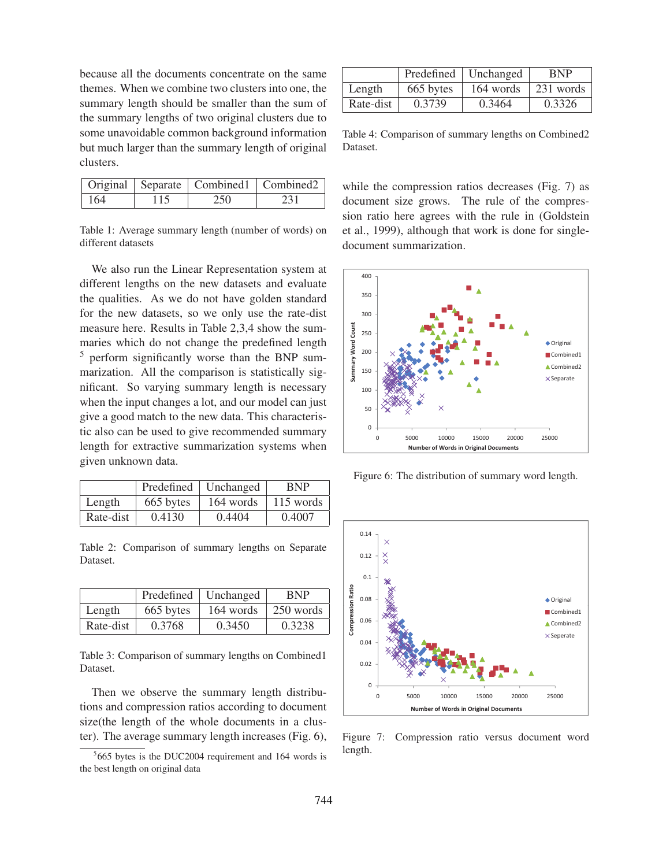because all the documents concentrate on the same themes. When we combine two clusters into one, the summary length should be smaller than the sum of the summary lengths of two original clusters due to some unavoidable common background information but much larger than the summary length of original clusters.

|            |     | Original   Separate   Combined1   Combined2 |     |
|------------|-----|---------------------------------------------|-----|
| $\mid$ 164 | 115 | -250                                        | 231 |

Table 1: Average summary length (number of words) on different datasets

We also run the Linear Representation system at different lengths on the new datasets and evaluate the qualities. As we do not have golden standard for the new datasets, so we only use the rate-dist measure here. Results in Table 2,3,4 show the summaries which do not change the predefined length <sup>5</sup> perform significantly worse than the BNP summarization. All the comparison is statistically significant. So varying summary length is necessary when the input changes a lot, and our model can just give a good match to the new data. This characteristic also can be used to give recommended summary length for extractive summarization systems when given unknown data.

|           |           | Predefined   Unchanged | <b>BNP</b> |
|-----------|-----------|------------------------|------------|
| Length    | 665 bytes | 164 words              | 115 words  |
| Rate-dist | 0.4130    | 0.4404                 | 0.4007     |

Table 2: Comparison of summary lengths on Separate Dataset.

|           |           | Predefined   Unchanged | <b>BNP</b> |
|-----------|-----------|------------------------|------------|
| Length    | 665 bytes | 164 words              | 250 words  |
| Rate-dist | 0.3768    | 0.3450                 | 0.3238     |

Table 3: Comparison of summary lengths on Combined1 Dataset.

Then we observe the summary length distributions and compression ratios according to document size(the length of the whole documents in a cluster). The average summary length increases (Fig. 6),

|           |           | Predefined   Unchanged | <b>BNP</b> |
|-----------|-----------|------------------------|------------|
| Length    | 665 bytes | 164 words              | 231 words  |
| Rate-dist | 0.3739    | 0.3464                 | 0.3326     |

Table 4: Comparison of summary lengths on Combined2 Dataset.

while the compression ratios decreases (Fig. 7) as document size grows. The rule of the compression ratio here agrees with the rule in (Goldstein et al., 1999), although that work is done for singledocument summarization.



Figure 6: The distribution of summary word length.



Figure 7: Compression ratio versus document word length.

<sup>5</sup> 665 bytes is the DUC2004 requirement and 164 words is the best length on original data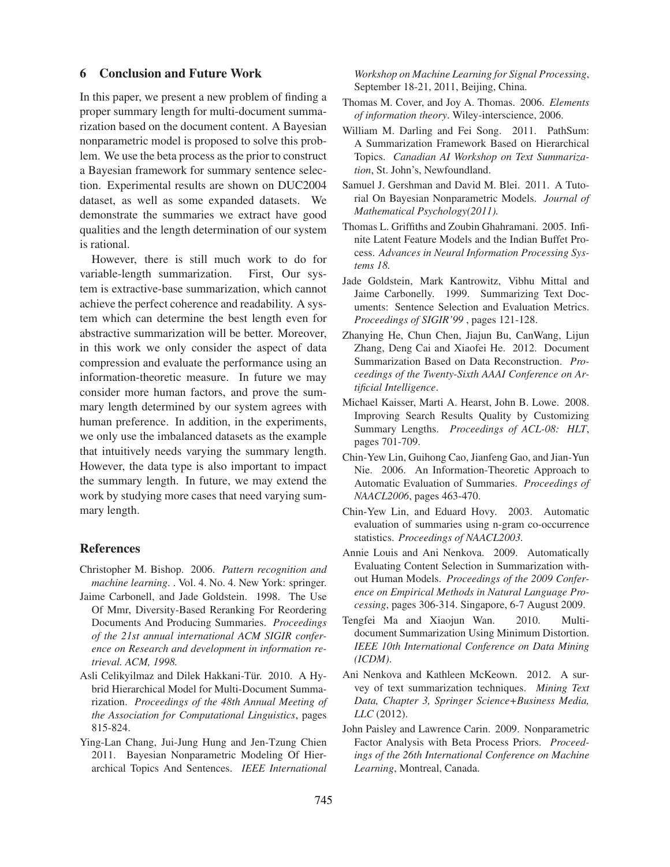# 6 Conclusion and Future Work

In this paper, we present a new problem of finding a proper summary length for multi-document summarization based on the document content. A Bayesian nonparametric model is proposed to solve this problem. We use the beta process as the prior to construct a Bayesian framework for summary sentence selection. Experimental results are shown on DUC2004 dataset, as well as some expanded datasets. We demonstrate the summaries we extract have good qualities and the length determination of our system is rational.

However, there is still much work to do for variable-length summarization. First, Our system is extractive-base summarization, which cannot achieve the perfect coherence and readability. A system which can determine the best length even for abstractive summarization will be better. Moreover, in this work we only consider the aspect of data compression and evaluate the performance using an information-theoretic measure. In future we may consider more human factors, and prove the summary length determined by our system agrees with human preference. In addition, in the experiments, we only use the imbalanced datasets as the example that intuitively needs varying the summary length. However, the data type is also important to impact the summary length. In future, we may extend the work by studying more cases that need varying summary length.

## References

- Christopher M. Bishop. 2006. *Pattern recognition and machine learning*. . Vol. 4. No. 4. New York: springer.
- Jaime Carbonell, and Jade Goldstein. 1998. The Use Of Mmr, Diversity-Based Reranking For Reordering Documents And Producing Summaries. *Proceedings of the 21st annual international ACM SIGIR conference on Research and development in information retrieval. ACM, 1998.*
- Asli Celikyilmaz and Dilek Hakkani-Tür. 2010. A Hybrid Hierarchical Model for Multi-Document Summarization. *Proceedings of the 48th Annual Meeting of the Association for Computational Linguistics*, pages 815-824.
- Ying-Lan Chang, Jui-Jung Hung and Jen-Tzung Chien 2011. Bayesian Nonparametric Modeling Of Hierarchical Topics And Sentences. *IEEE International*

*Workshop on Machine Learning for Signal Processing*, September 18-21, 2011, Beijing, China.

- Thomas M. Cover, and Joy A. Thomas. 2006. *Elements of information theory*. Wiley-interscience, 2006.
- William M. Darling and Fei Song. 2011. PathSum: A Summarization Framework Based on Hierarchical Topics. *Canadian AI Workshop on Text Summarization*, St. John's, Newfoundland.
- Samuel J. Gershman and David M. Blei. 2011. A Tutorial On Bayesian Nonparametric Models. *Journal of Mathematical Psychology(2011).*
- Thomas L. Griffiths and Zoubin Ghahramani. 2005. Infinite Latent Feature Models and the Indian Buffet Process. *Advances in Neural Information Processing Systems 18.*
- Jade Goldstein, Mark Kantrowitz, Vibhu Mittal and Jaime Carbonelly. 1999. Summarizing Text Documents: Sentence Selection and Evaluation Metrics. *Proceedings of SIGIR'99* , pages 121-128.
- Zhanying He, Chun Chen, Jiajun Bu, CanWang, Lijun Zhang, Deng Cai and Xiaofei He. 2012. Document Summarization Based on Data Reconstruction. *Proceedings of the Twenty-Sixth AAAI Conference on Artificial Intelligence*.
- Michael Kaisser, Marti A. Hearst, John B. Lowe. 2008. Improving Search Results Quality by Customizing Summary Lengths. *Proceedings of ACL-08: HLT*, pages 701-709.
- Chin-Yew Lin, Guihong Cao, Jianfeng Gao, and Jian-Yun Nie. 2006. An Information-Theoretic Approach to Automatic Evaluation of Summaries. *Proceedings of NAACL2006*, pages 463-470.
- Chin-Yew Lin, and Eduard Hovy. 2003. Automatic evaluation of summaries using n-gram co-occurrence statistics. *Proceedings of NAACL2003.*
- Annie Louis and Ani Nenkova. 2009. Automatically Evaluating Content Selection in Summarization without Human Models. *Proceedings of the 2009 Conference on Empirical Methods in Natural Language Processing*, pages 306-314. Singapore, 6-7 August 2009.
- Tengfei Ma and Xiaojun Wan. 2010. Multidocument Summarization Using Minimum Distortion. *IEEE 10th International Conference on Data Mining (ICDM)*.
- Ani Nenkova and Kathleen McKeown. 2012. A survey of text summarization techniques. *Mining Text Data, Chapter 3, Springer Science+Business Media, LLC* (2012).
- John Paisley and Lawrence Carin. 2009. Nonparametric Factor Analysis with Beta Process Priors. *Proceedings of the 26th International Conference on Machine Learning*, Montreal, Canada.